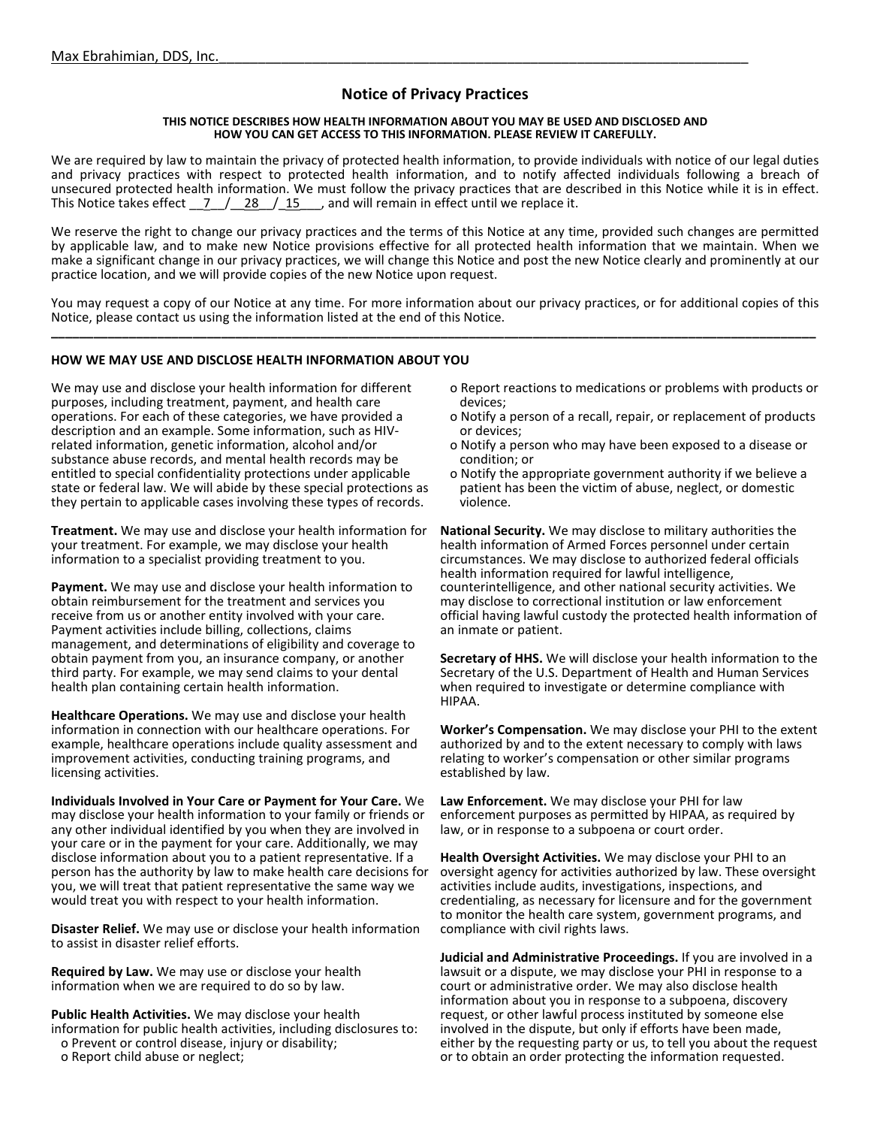# **Notice of Privacy Practices**

#### **THIS NOTICE DESCRIBES HOW HEALTH INFORMATION ABOUT YOU MAY BE USED AND DISCLOSED AND HOW YOU CAN GET ACCESS TO THIS INFORMATION. PLEASE REVIEW IT CAREFULLY.**

We are required by law to maintain the privacy of protected health information, to provide individuals with notice of our legal duties and privacy practices with respect to protected health information, and to notify affected individuals following a breach of unsecured protected health information. We must follow the privacy practices that are described in this Notice while it is in effect. This Notice takes effect  $\frac{7}{28}$  /  $\frac{15}{28}$  and will remain in effect until we replace it.

We reserve the right to change our privacy practices and the terms of this Notice at any time, provided such changes are permitted by applicable law, and to make new Notice provisions effective for all protected health information that we maintain. When we make a significant change in our privacy practices, we will change this Notice and post the new Notice clearly and prominently at our practice location, and we will provide copies of the new Notice upon request.

You may request a copy of our Notice at any time. For more information about our privacy practices, or for additional copies of this Notice, please contact us using the information listed at the end of this Notice. **\_\_\_\_\_\_\_\_\_\_\_\_\_\_\_\_\_\_\_\_\_\_\_\_\_\_\_\_\_\_\_\_\_\_\_\_\_\_\_\_\_\_\_\_\_\_\_\_\_\_\_\_\_\_\_\_\_\_\_\_\_\_\_\_\_\_\_\_\_\_\_\_\_\_\_\_\_\_\_\_\_\_\_\_\_\_\_\_\_\_\_\_\_\_\_\_\_\_\_\_\_\_\_\_\_\_\_\_**

## **HOW WE MAY USE AND DISCLOSE HEALTH INFORMATION ABOUT YOU**

We may use and disclose your health information for different purposes, including treatment, payment, and health care operations. For each of these categories, we have provided a description and an example. Some information, such as HIVrelated information, genetic information, alcohol and/or substance abuse records, and mental health records may be entitled to special confidentiality protections under applicable state or federal law. We will abide by these special protections as they pertain to applicable cases involving these types of records.

**Treatment.** We may use and disclose your health information for your treatment. For example, we may disclose your health information to a specialist providing treatment to you.

**Payment.** We may use and disclose your health information to obtain reimbursement for the treatment and services you receive from us or another entity involved with your care. Payment activities include billing, collections, claims management, and determinations of eligibility and coverage to obtain payment from you, an insurance company, or another third party. For example, we may send claims to your dental health plan containing certain health information.

**Healthcare Operations.** We may use and disclose your health information in connection with our healthcare operations. For example, healthcare operations include quality assessment and improvement activities, conducting training programs, and licensing activities.

**Individuals Involved in Your Care or Payment for Your Care.** We may disclose your health information to your family or friends or any other individual identified by you when they are involved in your care or in the payment for your care. Additionally, we may disclose information about you to a patient representative. If a person has the authority by law to make health care decisions for you, we will treat that patient representative the same way we would treat you with respect to your health information.

**Disaster Relief.** We may use or disclose your health information to assist in disaster relief efforts.

**Required by Law.** We may use or disclose your health information when we are required to do so by law.

**Public Health Activities.** We may disclose your health information for public health activities, including disclosures to: o Prevent or control disease, injury or disability;

o Report child abuse or neglect;

- o Report reactions to medications or problems with products or devices;
- o Notify a person of a recall, repair, or replacement of products or devices;
- o Notify a person who may have been exposed to a disease or condition; or
- o Notify the appropriate government authority if we believe a patient has been the victim of abuse, neglect, or domestic violence.

**National Security.** We may disclose to military authorities the health information of Armed Forces personnel under certain circumstances. We may disclose to authorized federal officials health information required for lawful intelligence, counterintelligence, and other national security activities. We may disclose to correctional institution or law enforcement official having lawful custody the protected health information of an inmate or patient.

**Secretary of HHS.** We will disclose your health information to the Secretary of the U.S. Department of Health and Human Services when required to investigate or determine compliance with HIPAA.

**Worker's Compensation.** We may disclose your PHI to the extent authorized by and to the extent necessary to comply with laws relating to worker's compensation or other similar programs established by law.

**Law Enforcement.** We may disclose your PHI for law enforcement purposes as permitted by HIPAA, as required by law, or in response to a subpoena or court order.

**Health Oversight Activities.** We may disclose your PHI to an oversight agency for activities authorized by law. These oversight activities include audits, investigations, inspections, and credentialing, as necessary for licensure and for the government to monitor the health care system, government programs, and compliance with civil rights laws.

**Judicial and Administrative Proceedings.** If you are involved in a lawsuit or a dispute, we may disclose your PHI in response to a court or administrative order. We may also disclose health information about you in response to a subpoena, discovery request, or other lawful process instituted by someone else involved in the dispute, but only if efforts have been made, either by the requesting party or us, to tell you about the request or to obtain an order protecting the information requested.